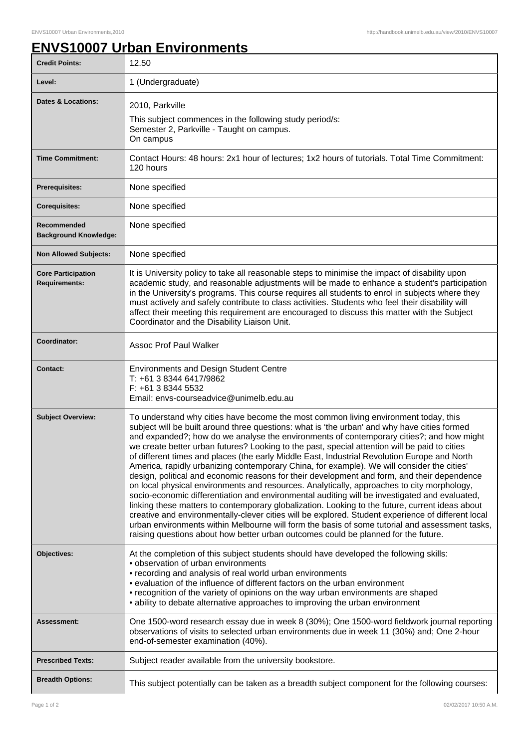## **ENVS10007 Urban Environments**

| <b>Credit Points:</b>                             | 12.50                                                                                                                                                                                                                                                                                                                                                                                                                                                                                                                                                                                                                                                                                                                                                                                                                                                                                                                                                                                                                                                                                                                                                                                                                                                                         |
|---------------------------------------------------|-------------------------------------------------------------------------------------------------------------------------------------------------------------------------------------------------------------------------------------------------------------------------------------------------------------------------------------------------------------------------------------------------------------------------------------------------------------------------------------------------------------------------------------------------------------------------------------------------------------------------------------------------------------------------------------------------------------------------------------------------------------------------------------------------------------------------------------------------------------------------------------------------------------------------------------------------------------------------------------------------------------------------------------------------------------------------------------------------------------------------------------------------------------------------------------------------------------------------------------------------------------------------------|
| Level:                                            | 1 (Undergraduate)                                                                                                                                                                                                                                                                                                                                                                                                                                                                                                                                                                                                                                                                                                                                                                                                                                                                                                                                                                                                                                                                                                                                                                                                                                                             |
| <b>Dates &amp; Locations:</b>                     | 2010, Parkville<br>This subject commences in the following study period/s:<br>Semester 2, Parkville - Taught on campus.<br>On campus                                                                                                                                                                                                                                                                                                                                                                                                                                                                                                                                                                                                                                                                                                                                                                                                                                                                                                                                                                                                                                                                                                                                          |
| <b>Time Commitment:</b>                           | Contact Hours: 48 hours: 2x1 hour of lectures; 1x2 hours of tutorials. Total Time Commitment:<br>120 hours                                                                                                                                                                                                                                                                                                                                                                                                                                                                                                                                                                                                                                                                                                                                                                                                                                                                                                                                                                                                                                                                                                                                                                    |
| <b>Prerequisites:</b>                             | None specified                                                                                                                                                                                                                                                                                                                                                                                                                                                                                                                                                                                                                                                                                                                                                                                                                                                                                                                                                                                                                                                                                                                                                                                                                                                                |
| <b>Corequisites:</b>                              | None specified                                                                                                                                                                                                                                                                                                                                                                                                                                                                                                                                                                                                                                                                                                                                                                                                                                                                                                                                                                                                                                                                                                                                                                                                                                                                |
| Recommended<br><b>Background Knowledge:</b>       | None specified                                                                                                                                                                                                                                                                                                                                                                                                                                                                                                                                                                                                                                                                                                                                                                                                                                                                                                                                                                                                                                                                                                                                                                                                                                                                |
| <b>Non Allowed Subjects:</b>                      | None specified                                                                                                                                                                                                                                                                                                                                                                                                                                                                                                                                                                                                                                                                                                                                                                                                                                                                                                                                                                                                                                                                                                                                                                                                                                                                |
| <b>Core Participation</b><br><b>Requirements:</b> | It is University policy to take all reasonable steps to minimise the impact of disability upon<br>academic study, and reasonable adjustments will be made to enhance a student's participation<br>in the University's programs. This course requires all students to enrol in subjects where they<br>must actively and safely contribute to class activities. Students who feel their disability will<br>affect their meeting this requirement are encouraged to discuss this matter with the Subject<br>Coordinator and the Disability Liaison Unit.                                                                                                                                                                                                                                                                                                                                                                                                                                                                                                                                                                                                                                                                                                                         |
| Coordinator:                                      | <b>Assoc Prof Paul Walker</b>                                                                                                                                                                                                                                                                                                                                                                                                                                                                                                                                                                                                                                                                                                                                                                                                                                                                                                                                                                                                                                                                                                                                                                                                                                                 |
| <b>Contact:</b>                                   | <b>Environments and Design Student Centre</b><br>T: +61 3 8344 6417/9862<br>F: +61 3 8344 5532<br>Email: envs-courseadvice@unimelb.edu.au                                                                                                                                                                                                                                                                                                                                                                                                                                                                                                                                                                                                                                                                                                                                                                                                                                                                                                                                                                                                                                                                                                                                     |
| <b>Subject Overview:</b>                          | To understand why cities have become the most common living environment today, this<br>subject will be built around three questions: what is 'the urban' and why have cities formed<br>and expanded?; how do we analyse the environments of contemporary cities?; and how might<br>we create better urban futures? Looking to the past, special attention will be paid to cities<br>of different times and places (the early Middle East, Industrial Revolution Europe and North<br>America, rapidly urbanizing contemporary China, for example). We will consider the cities'<br>design, political and economic reasons for their development and form, and their dependence<br>on local physical environments and resources. Analytically, approaches to city morphology,<br>socio-economic differentiation and environmental auditing will be investigated and evaluated,<br>linking these matters to contemporary globalization. Looking to the future, current ideas about<br>creative and environmentally-clever cities will be explored. Student experience of different local<br>urban environments within Melbourne will form the basis of some tutorial and assessment tasks,<br>raising questions about how better urban outcomes could be planned for the future. |
| Objectives:                                       | At the completion of this subject students should have developed the following skills:<br>• observation of urban environments<br>• recording and analysis of real world urban environments<br>• evaluation of the influence of different factors on the urban environment<br>• recognition of the variety of opinions on the way urban environments are shaped<br>• ability to debate alternative approaches to improving the urban environment                                                                                                                                                                                                                                                                                                                                                                                                                                                                                                                                                                                                                                                                                                                                                                                                                               |
| Assessment:                                       | One 1500-word research essay due in week 8 (30%); One 1500-word fieldwork journal reporting<br>observations of visits to selected urban environments due in week 11 (30%) and; One 2-hour<br>end-of-semester examination (40%).                                                                                                                                                                                                                                                                                                                                                                                                                                                                                                                                                                                                                                                                                                                                                                                                                                                                                                                                                                                                                                               |
| <b>Prescribed Texts:</b>                          | Subject reader available from the university bookstore.                                                                                                                                                                                                                                                                                                                                                                                                                                                                                                                                                                                                                                                                                                                                                                                                                                                                                                                                                                                                                                                                                                                                                                                                                       |
| <b>Breadth Options:</b>                           | This subject potentially can be taken as a breadth subject component for the following courses:                                                                                                                                                                                                                                                                                                                                                                                                                                                                                                                                                                                                                                                                                                                                                                                                                                                                                                                                                                                                                                                                                                                                                                               |